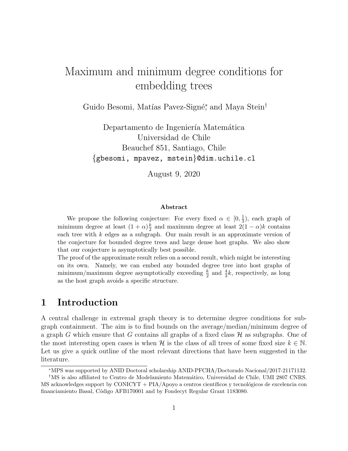## Maximum and minimum degree conditions for embedding trees

Guido Besomi, Matías Pavez-Signé<sup>\*</sup>, and Maya Stein<sup>†</sup>

Departamento de Ingeniería Matemática Universidad de Chile Beauchef 851, Santiago, Chile {gbesomi, mpavez, mstein}@dim.uchile.cl

August 9, 2020

#### Abstract

We propose the following conjecture: For every fixed  $\alpha \in [0, \frac{1}{3}]$  $\frac{1}{3}$ ), each graph of minimum degree at least  $(1+\alpha)\frac{k}{2}$  $\frac{k}{2}$  and maximum degree at least  $2(1 - \alpha)k$  contains each tree with  $k$  edges as a subgraph. Our main result is an approximate version of the conjecture for bounded degree trees and large dense host graphs. We also show that our conjecture is asymptotically best possible.

The proof of the approximate result relies on a second result, which might be interesting on its own. Namely, we can embed any bounded degree tree into host graphs of minimum/maximum degree asymptotically exceeding  $\frac{k}{2}$  and  $\frac{4}{3}k$ , respectively, as long as the host graph avoids a specific structure.

## 1 Introduction

A central challenge in extremal graph theory is to determine degree conditions for subgraph containment. The aim is to find bounds on the average/median/minimum degree of a graph G which ensure that G contains all graphs of a fixed class  $\mathcal H$  as subgraphs. One of the most interesting open cases is when H is the class of all trees of some fixed size  $k \in \mathbb{N}$ . Let us give a quick outline of the most relevant directions that have been suggested in the literature.

<sup>∗</sup>MPS was supported by ANID Doctoral scholarship ANID-PFCHA/Doctorado Nacional/2017-21171132.

<sup>&</sup>lt;sup>†</sup>MS is also affiliated to Centro de Modelamiento Matemático, Universidad de Chile, UMI 2807 CNRS.  $\overline{MS}$  acknowledges support by CONICYT + PIA/Apoyo a centros científicos y tecnológicos de excelencia con financiamiento Basal, C´odigo AFB170001 and by Fondecyt Regular Grant 1183080.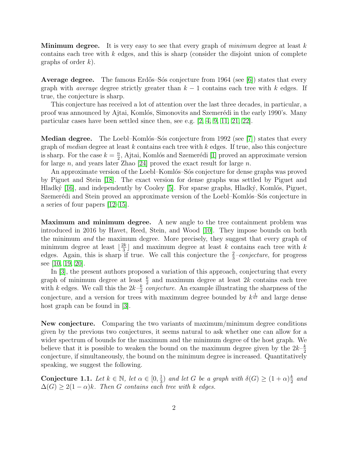**Minimum degree.** It is very easy to see that every graph of *minimum* degree at least  $k$ contains each tree with  $k$  edges, and this is sharp (consider the disjoint union of complete graphs of order  $k$ ).

**Average degree.** The famous Erdős–Sós conjecture from 1964 (see [\[6\]](#page-17-0)) states that every graph with *average* degree strictly greater than  $k - 1$  contains each tree with k edges. If true, the conjecture is sharp.

This conjecture has received a lot of attention over the last three decades, in particular, a proof was announced by Ajtai, Komlós, Simonovits and Szemerédi in the early 1990's. Many particular cases have been settled since then, see e.g. [\[2,](#page-17-1) [4,](#page-17-2) [9,](#page-17-3) [11,](#page-18-0) [21,](#page-18-1) [22\]](#page-18-2).

**Median degree.** The Loebl–Komlós–Sós conjecture from 1992 (see [\[7\]](#page-17-4)) states that every graph of *median* degree at least  $k$  contains each tree with  $k$  edges. If true, also this conjecture is sharp. For the case  $k = \frac{n}{2}$  $\frac{n}{2}$ , Ajtai, Komlós and Szemerédi [\[1\]](#page-17-5) proved an approximate version for large n, and years later Zhao [\[24\]](#page-19-0) proved the exact result for large n.

An approximate version of the Loebl–Komlós–Sós conjecture for dense graphs was proved by Piguet and Stein [\[18\]](#page-18-3). The exact version for dense graphs was settled by Piguet and Hladký  $[16]$ , and independently by Cooley  $[5]$ . For sparse graphs, Hladký, Komlós, Piguet, Szemerédi and Stein proved an approximate version of the Loebl–Komlós–Sós conjecture in a series of four papers [\[12](#page-18-5)[–15\]](#page-18-6).

Maximum and minimum degree. A new angle to the tree containment problem was introduced in 2016 by Havet, Reed, Stein, and Wood [\[10\]](#page-18-7). They impose bounds on both the minimum and the maximum degree. More precisely, they suggest that every graph of minimum degree at least  $\frac{2k}{3}$  $\frac{2k}{3}$  and maximum degree at least k contains each tree with k edges. Again, this is sharp if true. We call this conjecture the  $\frac{2}{3}$ -conjecture, for progress see [\[10,](#page-18-7) [19,](#page-18-8) [20\]](#page-18-9).

In [\[3\]](#page-17-7), the present authors proposed a variation of this approach, conjecturing that every graph of minimum degree at least  $\frac{k}{2}$  and maximum degree at least 2k contains each tree with k edges. We call this the  $2k-\frac{k}{2}$  $\frac{k}{2}$  conjecture. An example illustrating the sharpness of the conjecture, and a version for trees with maximum degree bounded by  $k^{\frac{1}{67}}$  and large dense host graph can be found in [\[3\]](#page-17-7).

New conjecture. Comparing the two variants of maximum/minimum degree conditions given by the previous two conjectures, it seems natural to ask whether one can allow for a wider spectrum of bounds for the maximum and the minimum degree of the host graph. We believe that it is possible to weaken the bound on the maximum degree given by the  $2k-\frac{k}{2}$ 2 conjecture, if simultaneously, the bound on the minimum degree is increased. Quantitatively speaking, we suggest the following.

<span id="page-1-0"></span>Conjecture 1.1. Let  $k \in \mathbb{N}$ , let  $\alpha \in [0, \frac{1}{3}]$  $\frac{1}{3}$ ) and let G be a graph with  $\delta(G) \geq (1+\alpha)\frac{k}{2}$  $rac{k}{2}$  and  $\Delta(G) \geq 2(1-\alpha)k$ . Then G contains each tree with k edges.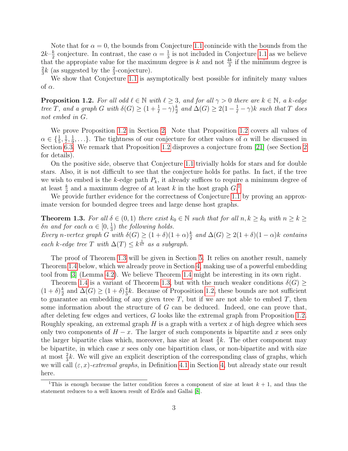Note that for  $\alpha = 0$ , the bounds from Conjecture [1.1](#page-1-0) conincide with the bounds from the  $2k-\frac{k}{2}$  $\frac{k}{2}$  conjecture. In contrast, the case  $\alpha = \frac{1}{3}$  $\frac{1}{3}$  is not included in Conjecture [1.1](#page-1-0) as we believe that the appropiate value for the maximum degree is k and not  $\frac{4k}{3}$  if the minimum degree is 2  $\frac{2}{3}k$  (as suggested by the  $\frac{2}{3}$ -conjecture).

We show that Conjecture [1.1](#page-1-0) is asymptotically best possible for infinitely many values of  $\alpha$ .

<span id="page-2-0"></span>**Proposition 1.2.** For all odd  $\ell \in \mathbb{N}$  with  $\ell \geq 3$ , and for all  $\gamma > 0$  there are  $k \in \mathbb{N}$ , a k-edge tree T, and a graph G with  $\delta(G) \geq (1 + \frac{1}{\ell} - \gamma)\frac{k}{2}$  $\frac{k}{2}$  and  $\Delta(G) \geq 2(1 - \frac{1}{\ell} - \gamma)k$  such that T does not embed in G.

We prove Proposition [1.2](#page-2-0) in Section [2.](#page-3-0) Note that Proposition [1.2](#page-2-0) covers all values of  $\alpha \in \{\frac{1}{5},\frac{1}{7}$  $\frac{1}{7}, \frac{1}{9}$  $\frac{1}{9}, \ldots$ . The tightness of our conjecture for other values of  $\alpha$  will be discussed in Section [6.3.](#page-17-8) We remark that Proposition [1.2](#page-2-0) disproves a conjecture from [\[21\]](#page-18-1) (see Section [2](#page-3-0) for details).

On the positive side, observe that Conjecture [1.1](#page-1-0) trivially holds for stars and for double stars. Also, it is not difficult to see that the conjecture holds for paths. In fact, if the tree we wish to embed is the k-edge path  $P_k$ , it already suffices to require a minimum degree of at least  $\frac{k}{2}$  and a maximum degree of at least k in the host graph  $G<sup>1</sup>$  $G<sup>1</sup>$  $G<sup>1</sup>$ 

We provide further evidence for the correctness of Conjecture [1.1](#page-1-0) by proving an approximate version for bounded degree trees and large dense host graphs.

<span id="page-2-2"></span>**Theorem 1.3.** For all  $\delta \in (0,1)$  there exist  $k_0 \in \mathbb{N}$  such that for all  $n, k \geq k_0$  with  $n \geq k \geq$ δn and for each  $\alpha \in [0, \frac{1}{3}]$  $\frac{1}{3}$ ) the following holds. Every n-vertex graph G with  $\delta(G) \geq (1+\delta)(1+\alpha)\frac{k}{2}$  $\frac{k}{2}$  and  $\Delta(G) \geq 2(1+\delta)(1-\alpha)k$  contains each k-edge tree T with  $\Delta(T) \leq k^{\frac{1}{67}}$  as a subgraph.

The proof of Theorem [1.3](#page-2-2) will be given in Section [5.](#page-10-0) It relies on another result, namely Theorem [1.4](#page-3-1) below, which we already prove in Section [4,](#page-6-0) making use of a powerful embedding tool from [\[3\]](#page-17-7) (Lemma [4.2\)](#page-8-0). We believe Theorem [1.4](#page-3-1) might be interesting in its own right.

Theorem [1.4](#page-3-1) is a variant of Theorem [1.3,](#page-2-2) but with the much weaker conditions  $\delta(G) \geq$  $(1+\delta)\frac{k}{2}$  $\frac{k}{2}$  and  $\Delta(G) \geq (1+\delta)\frac{4}{3}$  $\frac{4}{3}k$ . Because of Proposition [1.2,](#page-2-0) these bounds are not sufficient to guarantee an embedding of any given tree  $T$ , but if we are not able to embed  $T$ , then some information about the structure of  $G$  can be deduced. Indeed, one can prove that, after deleting few edges and vertices, G looks like the extremal graph from Proposition [1.2.](#page-2-0) Roughly speaking, an extremal graph  $H$  is a graph with a vertex  $x$  of high degree which sees only two components of  $H - x$ . The larger of such components is bipartite and x sees only the larger bipartite class which, moreover, has size at least  $\frac{2}{3}k$ . The other component may be bipartite, in which case  $x$  sees only one bipartition class, or non-bipartite and with size at most  $\frac{2}{3}k$ . We will give an explicit description of the corresponding class of graphs, which we will call  $(\varepsilon, x)$ -extremal graphs, in Definition [4.1](#page-6-1) in Section [4,](#page-6-0) but already state our result here.

<span id="page-2-1"></span><sup>&</sup>lt;sup>1</sup>This is enough because the latter condition forces a component of size at least  $k + 1$ , and thus the statement reduces to a well known result of Erdős and Gallai [\[8\]](#page-17-9).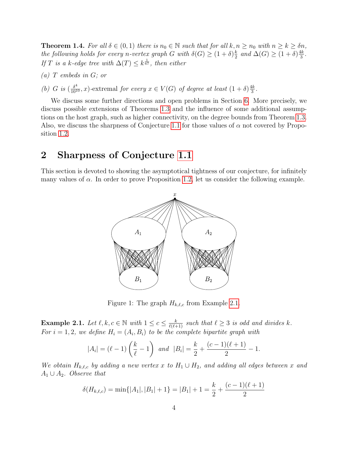<span id="page-3-1"></span>**Theorem 1.4.** For all  $\delta \in (0,1)$  there is  $n_0 \in \mathbb{N}$  such that for all  $k, n \geq n_0$  with  $n \geq k \geq \delta n$ , the following holds for every n-vertex graph G with  $\delta(G) \geq (1+\delta)\frac{k}{2}$  $\frac{k}{2}$  and  $\Delta(G) \geq (1+\delta)\frac{4k}{3}$  $\frac{1k}{3}$ . If T is a k-edge tree with  $\Delta(T) \leq k^{\frac{1}{67}}$ , then either

- $(a)$  T embeds in G; or
- (b) G is  $\left(\frac{\delta^4}{10^{10}}, x\right)$ -extremal for every  $x \in V(G)$  of degree at least  $(1 + \delta) \frac{4k}{3}$  $\frac{1k}{3}$ .

We discuss some further directions and open problems in Section [6.](#page-15-0) More precisely, we discuss possible extensions of Theorems [1.3](#page-2-2) and the influence of some additional assumptions on the host graph, such as higher connectivity, on the degree bounds from Theorem [1.3.](#page-2-2) Also, we discuss the sharpness of Conjecture [1.1](#page-1-0) for those values of  $\alpha$  not covered by Proposition [1.2.](#page-2-0)

### <span id="page-3-0"></span>2 Sharpness of Conjecture [1.1](#page-1-0)

This section is devoted to showing the asymptotical tightness of our conjecture, for infinitely many values of  $\alpha$ . In order to prove Proposition [1.2,](#page-2-0) let us consider the following example.



Figure 1: The graph  $H_{k,\ell,c}$  from Example [2.1.](#page-3-2)

<span id="page-3-2"></span>**Example 2.1.** Let  $\ell, k, c \in \mathbb{N}$  with  $1 \leq c \leq \frac{k}{\ell(\ell+1)}$  such that  $\ell \geq 3$  is odd and divides k. For  $i = 1, 2$ , we define  $H_i = (A_i, B_i)$  to be the complete bipartite graph with

$$
|A_i| = (\ell - 1) \left(\frac{k}{\ell} - 1\right)
$$
 and  $|B_i| = \frac{k}{2} + \frac{(c-1)(\ell+1)}{2} - 1.$ 

We obtain  $H_{k,\ell,c}$  by adding a new vertex x to  $H_1 \cup H_2$ , and adding all edges between x and  $A_1 \cup A_2$ . Observe that

$$
\delta(H_{k,\ell,c}) = \min\{|A_1|, |B_1| + 1\} = |B_1| + 1 = \frac{k}{2} + \frac{(c-1)(\ell+1)}{2}
$$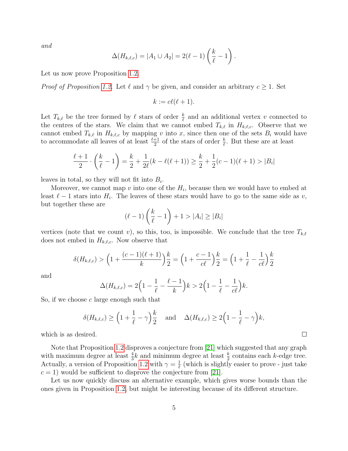and

$$
\Delta(H_{k,\ell,c}) = |A_1 \cup A_2| = 2(\ell - 1) \left(\frac{k}{\ell} - 1\right).
$$

Let us now prove Proposition [1.2.](#page-2-0)

*Proof of Proposition [1.2.](#page-2-0)* Let  $\ell$  and  $\gamma$  be given, and consider an arbitrary  $c \geq 1$ . Set

 $k := c\ell(\ell + 1).$ 

Let  $T_{k,\ell}$  be the tree formed by  $\ell$  stars of order  $\frac{k}{\ell}$  and an additional vertex v connected to the centres of the stars. We claim that we cannot embed  $T_{k,\ell}$  in  $H_{k,\ell,c}$ . Observe that we cannot embed  $T_{k,\ell}$  in  $H_{k,\ell,c}$  by mapping v into x, since then one of the sets  $B_i$  would have to accommodate all leaves of at least  $\frac{\ell+1}{2}$  of the stars of order  $\frac{k}{\ell}$ . But these are at least

$$
\frac{\ell+1}{2} \cdot \left(\frac{k}{\ell} - 1\right) = \frac{k}{2} + \frac{1}{2\ell}(k - \ell(\ell+1)) \ge \frac{k}{2} + \frac{1}{2}(c - 1)(\ell+1) > |B_i|
$$

leaves in total, so they will not fit into  $B_i$ .

Moreover, we cannot map  $v$  into one of the  $H_i$ , because then we would have to embed at least  $\ell - 1$  stars into  $H_i$ . The leaves of these stars would have to go to the same side as v, but together these are

$$
(\ell-1)\left(\frac{k}{\ell}-1\right)+1>|A_i|\geq |B_i|
$$

vertices (note that we count v), so this, too, is impossible. We conclude that the tree  $T_{k,\ell}$ does not embed in  $H_{k,\ell,c}$ . Now observe that

$$
\delta(H_{k,\ell,c}) > \left(1 + \frac{(c-1)(\ell+1)}{k}\right)\frac{k}{2} = \left(1 + \frac{c-1}{c\ell}\right)\frac{k}{2} = \left(1 + \frac{1}{\ell} - \frac{1}{c\ell}\right)\frac{k}{2}
$$

and

$$
\Delta(H_{k,\ell,c}) = 2\Big(1 - \frac{1}{\ell} - \frac{\ell-1}{k}\Big)k > 2\Big(1 - \frac{1}{\ell} - \frac{1}{c\ell}\Big)k.
$$

So, if we choose  $c$  large enough such that

$$
\delta(H_{k,\ell,c}) \ge \left(1 + \frac{1}{\ell} - \gamma\right)\frac{k}{2} \quad \text{and} \quad \Delta(H_{k,\ell,c}) \ge 2\left(1 - \frac{1}{\ell} - \gamma\right)k,
$$

which is as desired.

Note that Proposition [1.2](#page-2-0) disproves a conjecture from [\[21\]](#page-18-1) which suggested that any graph with maximum degree at least  $\frac{4}{3}k$  and minimum degree at least  $\frac{k}{2}$  contains each k-edge tree. Actually, a version of Proposition [1.2](#page-2-0) with  $\gamma = \frac{1}{\ell}$  $\frac{1}{\ell}$  (which is slightly easier to prove - just take  $c = 1$ ) would be sufficient to disprove the conjecture from [\[21\]](#page-18-1).

Let us now quickly discuss an alternative example, which gives worse bounds than the ones given in Proposition [1.2,](#page-2-0) but might be interesting because of its different structure.

 $\Box$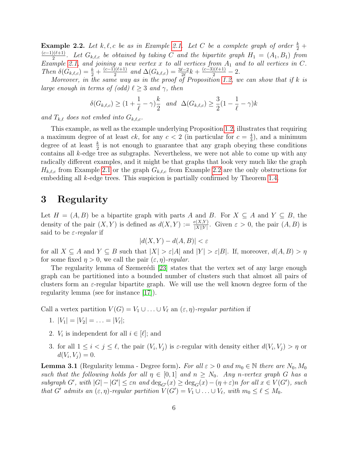<span id="page-5-0"></span>**Example 2.2.** Let  $k, \ell, c$  be as in Example [2.1.](#page-3-2) Let C be a complete graph of order  $\frac{k}{2}$  +  $(c-1)(\ell+1)$  $\frac{D(\ell+1)}{2}$ . Let  $G_{k,\ell,c}$  be obtained by taking C and the bipartite graph  $H_1 = (A_1, B_1)$  from Example [2.1,](#page-3-2) and joining a new vertex x to all vertices from  $A_1$  and to all vertices in C. Then  $\delta(G_{k,\ell,c}) = \frac{k}{2} + \frac{(c-1)(\ell+1)}{2}$  $\frac{\Omega(\ell+1)}{2}$  and  $\Delta(G_{k,\ell,c}) = \frac{3\ell-2}{2\ell}k + \frac{(c-3)(\ell+1)}{2} - 2.$ 

Moreover, in the same way as in the proof of Proposition [1.2,](#page-2-0) we can show that if  $k$  is large enough in terms of (odd)  $\ell > 3$  and  $\gamma$ , then

$$
\delta(G_{k,\ell,c}) \ge (1 + \frac{1}{\ell} - \gamma)\frac{k}{2} \text{ and } \Delta(G_{k,\ell,c}) \ge \frac{3}{2}(1 - \frac{1}{\ell} - \gamma)k
$$

and  $T_{k,\ell}$  does not embed into  $G_{k,\ell,c}$ .

This example, as well as the example underlying Proposition [1.2,](#page-2-0) illustrates that requiring a maximum degree of at least ck, for any  $c < 2$  (in particular for  $c = \frac{4}{3}$ )  $\frac{4}{3}$ , and a minimum degree of at least  $\frac{k}{2}$  is not enough to guarantee that any graph obeying these conditions contains all  $k$ -edge tree as subgraphs. Nevertheless, we were not able to come up with any radically different examples, and it might be that graphs that look very much like the graph  $H_{k,\ell,c}$  from Example [2.1](#page-3-2) or the graph  $G_{k,\ell,c}$  from Example [2.2](#page-5-0) are the only obstructions for embedding all *k*-edge trees. This suspicion is partially confirmed by Theorem [1.4.](#page-3-1)

## 3 Regularity

Let  $H = (A, B)$  be a bipartite graph with parts A and B. For  $X \subseteq A$  and  $Y \subseteq B$ , the density of the pair  $(X, Y)$  is defined as  $d(X, Y) := \frac{e(X,Y)}{|X||Y|}$ . Given  $\varepsilon > 0$ , the pair  $(A, B)$  is said to be  $\varepsilon$ -regular if

$$
|d(X,Y) - d(A,B)| < \varepsilon
$$

for all  $X \subseteq A$  and  $Y \subseteq B$  such that  $|X| > \varepsilon |A|$  and  $|Y| > \varepsilon |B|$ . If, moreover,  $d(A, B) > \eta$ for some fixed  $\eta > 0$ , we call the pair  $(\varepsilon, \eta)$ -regular.

The regularity lemma of Szemerédi [\[23\]](#page-18-10) states that the vertex set of any large enough graph can be partitioned into a bounded number of clusters such that almost all pairs of clusters form an  $\varepsilon$ -regular bipartite graph. We will use the well known degree form of the regularity lemma (see for instance [\[17\]](#page-18-11)).

Call a vertex partition  $V(G) = V_1 \cup \ldots \cup V_\ell$  an  $(\varepsilon, \eta)$ -regular partition if

- 1.  $|V_1| = |V_2| = \ldots = |V_\ell|;$
- 2.  $V_i$  is independent for all  $i \in [\ell];$  and
- 3. for all  $1 \leq i < j \leq \ell$ , the pair  $(V_i, V_j)$  is  $\varepsilon$ -regular with density either  $d(V_i, V_j) > \eta$  or  $d(V_i, V_j) = 0.$

<span id="page-5-1"></span>**Lemma 3.1** (Regularity lemma - Degree form). For all  $\varepsilon > 0$  and  $m_0 \in \mathbb{N}$  there are  $N_0, M_0$ such that the following holds for all  $\eta \in [0,1]$  and  $n \geq N_0$ . Any n-vertex graph G has a subgraph G', with  $|G| - |G'| \leq \varepsilon n$  and  $\deg_{G'}(x) \geq \deg_G(x) - (\eta + \varepsilon)n$  for all  $x \in V(G')$ , such that G' admits an  $(\varepsilon, \eta)$ -regular partition  $V(G') = V_1 \cup ... \cup V_\ell$ , with  $m_0 \leq \ell \leq M_0$ .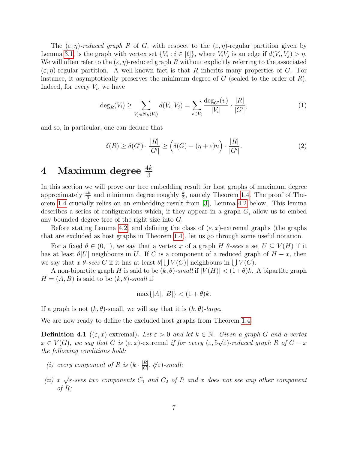The  $(\varepsilon, \eta)$ -reduced graph R of G, with respect to the  $(\varepsilon, \eta)$ -regular partition given by Lemma [3.1,](#page-5-1) is the graph with vertex set  $\{V_i : i \in [\ell]\}$ , where  $V_i V_j$  is an edge if  $d(V_i, V_j) > \eta$ . We will often refer to the  $(\varepsilon, \eta)$ -reduced graph R without explicitly referring to the associated  $(\varepsilon, \eta)$ -regular partition. A well-known fact is that R inherits many properties of G. For instance, it asymptotically preserves the minimum degree of  $G$  (scaled to the order of  $R$ ). Indeed, for every  $V_i$ , we have

$$
\deg_R(V_i) \ge \sum_{V_j \in N_R(V_i)} d(V_i, V_j) = \sum_{v \in V_i} \frac{\deg_{G'}(v)}{|V_i|} \cdot \frac{|R|}{|G'|},\tag{1}
$$

and so, in particular, one can deduce that

$$
\delta(R) \ge \delta(G') \cdot \frac{|R|}{|G'|} \ge \left(\delta(G) - (\eta + \varepsilon)n\right) \cdot \frac{|R|}{|G'|}. \tag{2}
$$

# <span id="page-6-0"></span> $4$  Maximum degree  $\frac{4k}{3}$

In this section we will prove our tree embedding result for host graphs of maximum degree approximately  $\frac{4k}{3}$  and minimum degree roughly  $\frac{k}{2}$ , namely Theorem [1.4.](#page-3-1) The proof of Theorem [1.4](#page-3-1) crucially relies on an embedding result from [\[3\]](#page-17-7), Lemma [4.2](#page-8-0) below. This lemma describes a series of configurations which, if they appear in a graph  $G$ , allow us to embed any bounded degree tree of the right size into G.

Before stating Lemma [4.2,](#page-8-0) and defining the class of  $(\varepsilon, x)$ -extremal graphs (the graphs that are excluded as host graphs in Theorem [1.4\)](#page-3-1), let us go through some useful notation.

For a fixed  $\theta \in (0,1)$ , we say that a vertex x of a graph H  $\theta$ -sees a set  $U \subseteq V(H)$  if it has at least  $\theta|U|$  neighbours in U. If C is a component of a reduced graph of  $H-x$ , then we say that x  $\theta$ -sees C if it has at least  $\theta |U(V(C))|$  neighbours in  $UV(C)$ .

A non-bipartite graph H is said to be  $(k, \theta)$ -small if  $|V(H)| < (1+\theta)k$ . A bipartite graph  $H = (A, B)$  is said to be  $(k, \theta)$ -small if

$$
\max\{|A|, |B|\} < (1+\theta)k.
$$

If a graph is not  $(k, \theta)$ -small, we will say that it is  $(k, \theta)$ -large.

We are now ready to define the excluded host graphs from Theorem [1.4.](#page-3-1)

<span id="page-6-1"></span>**Definition 4.1** (( $\varepsilon, x$ )-extremal). Let  $\varepsilon > 0$  and let  $k \in \mathbb{N}$ . Given a graph G and a vertex  $x \in V(G)$ , we say that G is  $(\varepsilon, x)$ -extremal if for every  $(\varepsilon, 5\sqrt{\varepsilon})$ -reduced graph R of  $G - x$ the following conditions hold:

- (i) every component of R is  $(k \cdot \frac{|R|}{|C|})$  $\frac{|R|}{|G|}, \sqrt[4]{\varepsilon}$ )-small;
- $(ii) x$ √  $\overline{\varepsilon}\textrm{-}sees$  two components  $C_1$  and  $C_2$  of  $R$  and  $x$  does not see any other component of R;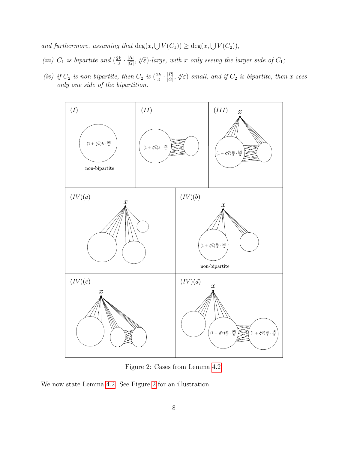and furthermore, assuming that  $\deg(x, \bigcup V(C_1)) \geq \deg(x, \bigcup V(C_2)),$ 

- (iii)  $C_1$  is bipartite and  $\left(\frac{2k}{3}\right)$  $\frac{2k}{3}\cdot\frac{|R|}{|G|}$  $\frac{|R|}{|G|}$ ,  $\sqrt[4]{\varepsilon}$ )-large, with x only seeing the larger side of  $C_1$ ;
- (iv) if  $C_2$  is non-bipartite, then  $C_2$  is  $\left(\frac{2k}{3}\right)$  $\frac{2k}{3}\cdot\frac{|R|}{|G|}$  $\frac{|R|}{|G|}$ ,  $\sqrt[4]{\varepsilon}$ )-small, and if  $C_2$  is bipartite, then x sees only one side of the bipartition.

<span id="page-7-0"></span>

Figure 2: Cases from Lemma [4.2.](#page-8-0)

We now state Lemma [4.2.](#page-8-0) See Figure [2](#page-7-0) for an illustration.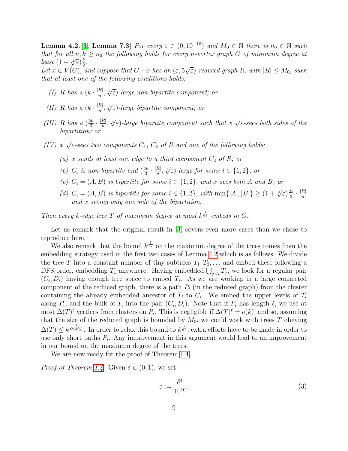<span id="page-8-0"></span>**Lemma 4.2.**[\[3,](#page-17-7) Lemma 7.3] For every  $\varepsilon \in (0, 10^{-10})$  and  $M_0 \in \mathbb{N}$  there is  $n_0 \in \mathbb{N}$  such that for all  $n, k \geq n_0$  the following holds for every n-vertex graph G of minimum degree at least  $(1+\sqrt[4]{\varepsilon})\frac{k}{2}$  $\frac{k}{2}$ . √

Let  $x \in V(G)$ , and suppose that  $G-x$  has an  $(\varepsilon, 5)$  $\epsilon$ )-reduced graph R, with  $|R| \leq M_0$ , such that at least one of the following conditions holds:

- <span id="page-8-1"></span>(I) R has a  $(k \cdot \frac{|R|}{n})$  $\frac{R|R}{n}$ ,  $\sqrt[4]{\varepsilon}$ )-large non-bipartite component; or
- <span id="page-8-2"></span>(II) R has a  $(k \cdot \frac{|R|}{n})$  $\frac{R|R}{n}$ ,  $\sqrt[4]{\varepsilon}$ )-large bipartite component; or
- <span id="page-8-4"></span>(III) R has a  $(\frac{2k}{3})$  $\frac{2k}{3} \cdot \frac{|R|}{n}$  $\frac{R|R|}{n}$ ,  $\sqrt[4]{\varepsilon}$ )-large bipartite component such that  $x \sqrt{2}$  $\overline{\varepsilon}$ -sees both sides of the bipartition; or
- <span id="page-8-6"></span><span id="page-8-5"></span> $(IV)$  x √  $\overline{\varepsilon}$ -sees two components  $C_1,~C_2$  of  $R$  and one of the following holds:
	- (a) x sends at least one edge to a third component  $C_3$  of R; or
	- (b)  $C_i$  is non-bipartite and  $\left(\frac{2k}{3}\right)$  $\frac{2k}{3} \cdot \frac{|R|}{n}$  $\frac{R}{n}$ ,  $\sqrt[4]{\varepsilon}$ )-large for some  $i \in \{1,2\}$ ; or
	- (c)  $C_i = (A, B)$  is bipartite for some  $i \in \{1, 2\}$ , and x sees both A and B; or
	- (d)  $C_i = (A, B)$  is bipartite for some  $i \in \{1, 2\}$ , with  $\min\{|A|, |B|\} \geq (1 + \sqrt[4]{\varepsilon})\frac{2k}{3}$  $\frac{2k}{3} \cdot \frac{|R|}{n}$  $\mathcal{L}_i = (1, \mathcal{L})$  is obtained for some  $i \in [1, 2]$ , which  $\min\{|1\cdot|, |\mathcal{L}|\} \leq (1 + \sqrt{\epsilon}) \frac{1}{3}$  is and x seeing only one side of the bipartition.

<span id="page-8-8"></span><span id="page-8-7"></span>Then every k-edge tree T of maximum degree at most  $k^{\frac{1}{67}}$  embeds in G.

Let us remark that the original result in [\[3\]](#page-17-7) covers even more cases than we chose to reproduce here.

We also remark that the bound  $k^{\frac{1}{67}}$  on the maximum degree of the trees comes from the embedding strategy used in the first two cases of Lemma [4.2](#page-8-0) which is as follows. We divide the tree T into a constant number of tiny subtrees  $T_1, T_2, \ldots$  and embed these following a DFS order, embedding  $T_1$  anywhere. Having embedded  $\bigcup_{j, we look for a regular pair$  $(C_i, D_i)$  having enough free space to embed  $T_i$ . As we are working in a large connected component of the reduced graph, there is a path  $P_i$  (in the reduced graph) from the cluster containing the already embedded ancestor of  $T_i$  to  $C_i$ . We embed the upper levels of  $T_i$ along  $P_i$ , and the bulk of  $T_i$  into the pair  $(C_i, D_i)$ . Note that if  $P_i$  has length  $\ell$ , we use at most  $\Delta(T)^{\ell}$  vertices from clusters on  $P_i$ . This is negligible if  $\Delta(T)^{\ell} = o(k)$ , and so, assuming that the size of the reduced graph is bounded by  $M_0$ , we could work with trees T obeying  $\Delta(T) \leq k^{\frac{1}{O(M_0)}}$ . In order to relax this bound to  $k^{\frac{1}{67}}$ , extra efforts have to be made in order to use only short paths  $P_i$ . Any improvement in this argument would lead to an improvement in our bound on the maximum degree of the trees.

We are now ready for the proof of Theorem [1.4.](#page-3-1)

*Proof of Theorem [1.4.](#page-3-1)* Given  $\delta \in (0,1)$ , we set

<span id="page-8-3"></span>
$$
\varepsilon := \frac{\delta^4}{10^{10}}.\tag{3}
$$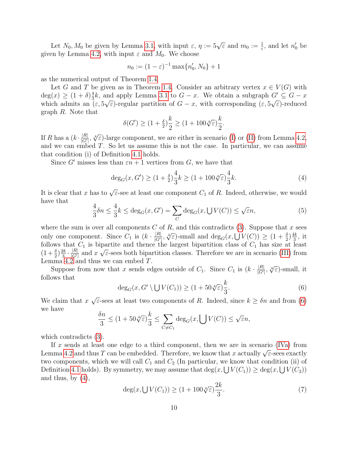Let  $N_0, M_0$  be given by Lemma [3.1,](#page-5-1) with input  $\varepsilon, \eta := 5\sqrt{\varepsilon}$  and  $m_0 := \frac{1}{\varepsilon}$ , and let  $n'_0$  be given by Lemma [4.2,](#page-8-0) with input  $\varepsilon$  and  $M_0$ . We choose

$$
n_0 := (1 - \varepsilon)^{-1} \max\{n'_0, N_0\} + 1
$$

as the numerical output of Theorem [1.4.](#page-3-1)

Let G and T be given as in Theorem [1.4.](#page-3-1) Consider an arbitrary vertex  $x \in V(G)$  with  $deg(x) \geq (1+\delta)^{\frac{4}{3}}$  $\frac{4}{3}k$ , and apply Lemma [3.1](#page-5-1) to  $G - x$ . We obtain a subgraph  $G' \subseteq G - x$ which admits an  $(\varepsilon, 5\sqrt{\varepsilon})$ -regular partition of  $G - x$ , with corresponding  $(\varepsilon, 5\sqrt{\varepsilon})$ -reduced graph R. Note that

<span id="page-9-1"></span>
$$
\delta(G') \ge (1 + \frac{\delta}{2})\frac{k}{2} \ge (1 + 100\sqrt[4]{\varepsilon})\frac{k}{2}.
$$

If R has a  $(k \cdot \frac{|R|}{|G|})$  $\frac{|R|}{|G'|}$ ,  $\sqrt[4]{\varepsilon}$ )-large component, we are either in scenario [\(I\)](#page-8-1) or [\(II\)](#page-8-2) from Lemma [4.2,](#page-8-0) and we can embed  $T$ . So let us assume this is not the case. In particular, we can assume that condition (i) of Definition [4.1](#page-6-1) holds.

Since G' misses less than  $\varepsilon n + 1$  vertices from G, we have that

$$
\deg_G(x, G') \ge (1 + \frac{\delta}{2})\frac{4}{3}k \ge (1 + 100\sqrt[4]{\varepsilon})\frac{4}{3}k. \tag{4}
$$

It is clear that x has to  $\sqrt{\varepsilon}$ -see at least one component  $C_1$  of R. Indeed, otherwise, we would have that

$$
\frac{4}{3}\delta n \le \frac{4}{3}k \le \deg_G(x, G') = \sum_C \deg_G(x, \bigcup V(C)) \le \sqrt{\varepsilon}n,\tag{5}
$$

where the sum is over all components  $C$  of  $R$ , and this contradicts [\(3\)](#page-8-3). Suppose that  $x$  sees only one component. Since  $C_1$  is  $(k \cdot \frac{|R|}{|G'|})$ of *n*, and this contradicts (5). Suppose that *x* s<br>  $\frac{|R|}{|G'|}$ ,  $\sqrt[4]{\varepsilon}$ )-small and  $\deg_G(x, \bigcup V(C)) \geq (1 + \frac{\delta}{2})\frac{4k}{3}$  $\frac{1k}{3}$ , it follows that  $C_1$  is bipartite and thence the largest bipartition class of  $C_1$  has size at least  $(1+\frac{\delta}{2})\frac{2k}{3}$  $\frac{2k}{3}\cdot\frac{|R|}{|G'|}$  $\frac{|R|}{|G'|}$  and x ≀µi  $\overline{\epsilon}$ -sees both bipartition classes. Therefore we are in scenario [\(III\)](#page-8-4) from Lemma [4.2](#page-8-0) and thus we can embed T.

<span id="page-9-0"></span>Suppose from now that x sends edges outside of  $C_1$ . Since  $C_1$  is  $(k \cdot \frac{|R|}{|G'|})$  $\frac{|R|}{|G'|}$ ,  $\sqrt[4]{\varepsilon}$ )-small, it follows that

$$
\deg_G(x, G' \setminus \bigcup V(C_1)) \ge (1 + 50\sqrt[4]{\varepsilon})\frac{k}{3}.\tag{6}
$$

We claim that  $x$ √  $\overline{\varepsilon}$ -sees at least two components of R. Indeed, since  $k \geq \delta n$  and from [\(6\)](#page-9-0) we have

$$
\frac{\delta n}{3} \le (1 + 50\sqrt[4]{\varepsilon})\frac{k}{3} \le \sum_{C \neq C_1} \deg_G(x, \bigcup V(C)) \le \sqrt{\varepsilon}n,
$$

which contradicts [\(3\)](#page-8-3).

If x sends at least one edge to a third component, then we are in scenario [\(IVa\)](#page-8-5) from If x sends at least one edge to a time component, then we are in scenario (Tva) from<br>Lemma [4.2](#page-8-0) and thus T can be embedded. Therefore, we know that x actually  $\sqrt{\varepsilon}$ -sees exactly two components, which we will call  $C_1$  and  $C_2$  (In particular, we know that condition (ii) of Definition [4.1](#page-6-1) holds). By symmetry, we may assume that  $\deg(x, \bigcup V(C_1)) \geq \deg(x, \bigcup V(C_2))$ and thus, by  $(4)$ ,

<span id="page-9-2"></span>
$$
\deg(x, \bigcup V(C_1)) \ge (1 + 100\sqrt[4]{\varepsilon})\frac{2k}{3}.\tag{7}
$$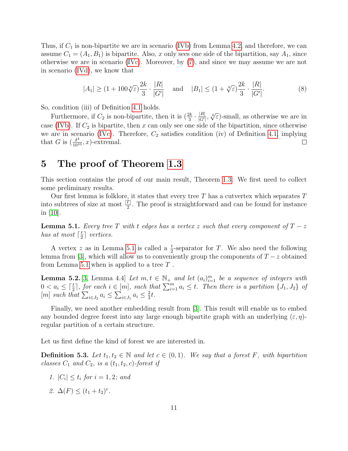Thus, if  $C_1$  is non-bipartite we are in scenario [\(IVb\)](#page-8-6) from Lemma [4.2,](#page-8-0) and therefore, we can assume  $C_1 = (A_1, B_1)$  is bipartite. Also, x only sees one side of the bipartition, say  $A_1$ , since otherwise we are in scenario [\(IVc\)](#page-8-7). Moreover, by [\(7\)](#page-9-2), and since we may assume we are not in scenario [\(IVd\)](#page-8-8), we know that

$$
|A_1| \ge (1 + 100\sqrt[4]{\varepsilon})\frac{2k}{3} \cdot \frac{|R|}{|G'|} \quad \text{and} \quad |B_1| \le (1 + \sqrt[4]{\varepsilon})\frac{2k}{3} \cdot \frac{|R|}{|G'|}. \tag{8}
$$

So, condition (iii) of Definition [4.1](#page-6-1) holds.

 $\frac{|R|}{|G'|}$ ,  $\sqrt[4]{\varepsilon}$ )-small, as otherwise we are in Furthermore, if  $C_2$  is non-bipartite, then it is  $\left(\frac{2k}{3} \cdot \frac{|R|}{|G'|}\right)$ case [\(IVb\)](#page-8-6). If  $C_2$  is bipartite, then x can only see one side of the bipartition, since otherwise we are in scenario [\(IVc\)](#page-8-7). Therefore,  $C_2$  satisfies condition (iv) of Definition [4.1,](#page-6-1) implying that G is  $\left(\frac{\delta^4}{10^{10}}, x\right)$ -extremal.  $\Box$ 

#### <span id="page-10-0"></span>5 The proof of Theorem [1.3](#page-2-2)

This section contains the proof of our main result, Theorem [1.3.](#page-2-2) We first need to collect some preliminary results.

Our first lemma is folklore, it states that every tree  $T$  has a cutvertex which separates  $T$ into subtrees of size at most  $\frac{|T|}{2}$ . The proof is straightforward and can be found for instance in [\[10\]](#page-18-7).

<span id="page-10-1"></span>**Lemma 5.1.** Every tree T with t edges has a vertex z such that every component of  $T - z$ has at most  $\lceil \frac{t}{2} \rceil$  $\frac{t}{2}$  vertices.

A vertex z as in Lemma [5.1](#page-10-1) is called a  $\frac{t}{2}$ -separator for T. We also need the following lemma from [\[3\]](#page-17-7), which will allow us to conveniently group the components of  $T - z$  obtained from Lemma [5.1](#page-10-1) when is applied to a tree  $T$ .

<span id="page-10-2"></span>**Lemma 5.2.** [\[3,](#page-17-7) Lemma 4.4] Let  $m, t \in \mathbb{N}_+$  and let  $(a_i)_{i=1}^m$  be a sequence of integers with  $0 < a_i \leq \lceil \frac{t}{2} \rceil$ , for each  $i \in [m]$ , such that  $\sum_{i=1}^m a_i \leq t$ . Then there is a partition  $\{J_1, J_2\}$  of [m] such that  $\sum_{i\in J_2} a_i \leq \sum_{i\in J_1} a_i \leq \frac{2}{3}$  $rac{2}{3}t$ .

Finally, we need another embedding result from [\[3\]](#page-17-7). This result will enable us to embed any bounded degree forest into any large enough bipartite graph with an underlying  $(\varepsilon, \eta)$ regular partition of a certain structure.

Let us first define the kind of forest we are interested in.

**Definition 5.3.** Let  $t_1, t_2 \in \mathbb{N}$  and let  $c \in (0, 1)$ . We say that a forest F, with bipartition classes  $C_1$  and  $C_2$ , is a  $(t_1, t_2, c)$ -forest if

- 1.  $|C_i| \leq t_i$  for  $i = 1, 2;$  and
- 2.  $\Delta(F) \leq (t_1 + t_2)^c$ .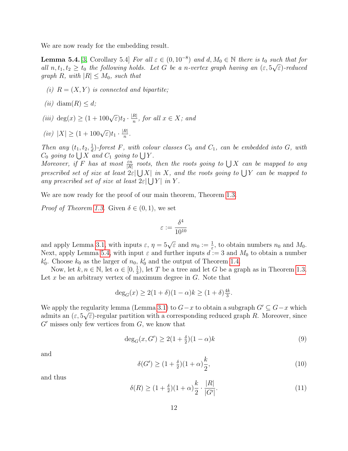We are now ready for the embedding result.

<span id="page-11-0"></span>**Lemma 5.4.** [\[3,](#page-17-7) Corollary 5.4] For all  $\varepsilon \in (0, 10^{-8})$  and  $d, M_0 \in \mathbb{N}$  there is t<sub>0</sub> such that for all  $n, t_1, t_2 \geq t_0$  the following holds. Let G be a n-vertex graph having an  $(\varepsilon, 5\sqrt{\varepsilon})$ -reduced graph R, with  $|R| \leq M_0$ , such that

- (i)  $R = (X, Y)$  is connected and bipartite;
- (ii) diam(R)  $\leq d$ ;

(iii) deg(x)  $\geq (1+100\sqrt{\varepsilon})t_2 \cdot \frac{|R|}{n}$  $\frac{R}{n}$ , for all  $x \in X$ ; and

.

$$
(iv) \ |X| \ge (1 + 100\sqrt{\varepsilon})t_1 \cdot \frac{|R|}{n}
$$

Then any  $(t_1, t_2, \frac{1}{d})$  $\frac{1}{d}$ )-forest F, with colour classes  $C_0$  and  $C_1$ , can be embedded into G, with  $C_0$  going to  $\bigcup X$  and  $C_1$  going to  $\bigcup Y$ .

Moreover, if F has at most  $\frac{\varepsilon n}{|R|}$  roots, then the roots going to  $\bigcup X$  can be mapped to any prescribed set of size at least  $2\varepsilon$   $\bigcup X$  in X, and the roots going to  $\bigcup Y$  can be mapped to any prescribed set of size at least  $2\varepsilon$   $\bigcup Y$  in Y.

We are now ready for the proof of our main theorem, Theorem [1.3.](#page-2-2)

*Proof of Theorem [1.3.](#page-2-2)* Given  $\delta \in (0,1)$ , we set

$$
\varepsilon:=\frac{\delta^4}{10^{10}}
$$

and apply Lemma [3.1,](#page-5-1) with inputs  $\varepsilon$ ,  $\eta = 5\sqrt{\varepsilon}$  and  $m_0 := \frac{1}{\varepsilon}$ , to obtain numbers  $n_0$  and  $M_0$ . Next, apply Lemma [5.4,](#page-11-0) with input  $\varepsilon$  and further inputs  $d := 3$  and  $M_0$  to obtain a number  $k'_0$ . Choose  $k_0$  as the larger of  $n_0$ ,  $k'_0$  and the output of Theorem [1.4.](#page-3-1)

Now, let  $k, n \in \mathbb{N}$ , let  $\alpha \in [0, \frac{1}{3}]$  $\frac{1}{3}$ , let T be a tree and let G be a graph as in Theorem [1.3.](#page-2-2) Let x be an arbitrary vertex of maximum degree in  $G$ . Note that

$$
\deg_G(x) \ge 2(1+\delta)(1-\alpha)k \ge (1+\delta)\frac{4k}{3}.
$$

We apply the regularity lemma (Lemma [3.1\)](#page-5-1) to  $G-x$  to obtain a subgraph  $G' \subseteq G-x$  which admits an  $(\varepsilon, 5\sqrt{\varepsilon})$ -regular partition with a corresponding reduced graph R. Moreover, since  $G'$  misses only few vertices from  $G$ , we know that

$$
\deg_G(x, G') \ge 2(1 + \frac{\delta}{2})(1 - \alpha)k\tag{9}
$$

<span id="page-11-3"></span>and

<span id="page-11-1"></span>
$$
\delta(G') \ge (1 + \frac{\delta}{2})(1 + \alpha)\frac{k}{2},\tag{10}
$$

<span id="page-11-2"></span>and thus

$$
\delta(R) \ge (1 + \frac{\delta}{2})(1 + \alpha)\frac{k}{2} \cdot \frac{|R|}{|G'|}. \tag{11}
$$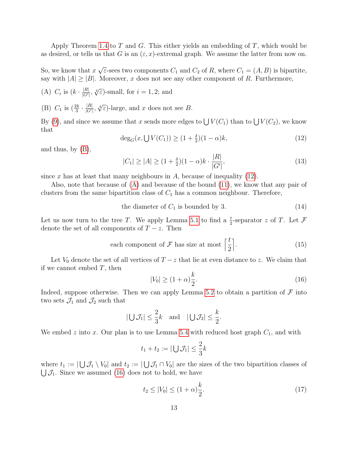Apply Theorem [1.4](#page-3-1) to T and G. This either yields an embedding of T, which would be as desired, or tells us that G is an  $(\varepsilon, x)$ -extremal graph. We assume the latter from now on.

So, we know that  $x$ √  $\overline{\varepsilon}$ -sees two components  $C_1$  and  $C_2$  of R, where  $C_1 = (A, B)$  is bipartite, say with  $|A| \geq |B|$ . Moreover, x does not see any other component of R. Furthermore,

- <span id="page-12-2"></span>(A)  $C_i$  is  $(k \cdot \frac{|R|}{|G|})$  $\frac{|R|}{|G'|}$ ,  $\sqrt[4]{\varepsilon}$ )-small, for  $i = 1, 2$ ; and
- <span id="page-12-0"></span>(B)  $C_1$  is  $\left(\frac{2k}{3} \cdot \frac{|R|}{|G|}\right)$  $\frac{|R|}{|G'|}$ ,  $\sqrt[4]{\varepsilon}$ )-large, and x does not see B.

<span id="page-12-1"></span>By [\(9\)](#page-11-1), and since we assume that x sends more edges to  $\bigcup V(C_1)$  than to  $\bigcup V(C_2)$ , we know that

<span id="page-12-5"></span>
$$
\deg_G(x, \bigcup V(C_1)) \ge (1 + \frac{\delta}{2})(1 - \alpha)k,\tag{12}
$$

and thus, by [\(B\)](#page-12-0),

$$
|C_1| \ge |A| \ge (1 + \frac{\delta}{2})(1 - \alpha)k \cdot \frac{|R|}{|G'|},\tag{13}
$$

since x has at least that many neighbours in  $A$ , because of inequality [\(12\)](#page-12-1).

Also, note that because of [\(A\)](#page-12-2) and because of the bound [\(11\)](#page-11-2), we know that any pair of clusters from the same bipartition class of  $C_1$  has a common neighbour. Therefore,

the diameter of  $C_1$  is bounded by 3. (14)

Let us now turn to the tree T. We apply Lemma [5.1](#page-10-1) to find a  $\frac{t}{2}$ -separator z of T. Let F denote the set of all components of  $T - z$ . Then

each component of 
$$
\mathcal{F}
$$
 has size at most  $\left\lceil \frac{t}{2} \right\rceil$ . (15)

Let  $V_0$  denote the set of all vertices of  $T - z$  that lie at even distance to z. We claim that if we cannot embed  $T$ , then

<span id="page-12-7"></span><span id="page-12-6"></span><span id="page-12-3"></span>
$$
|V_0| \ge (1+\alpha)\frac{k}{2}.\tag{16}
$$

Indeed, suppose otherwise. Then we can apply Lemma [5.2](#page-10-2) to obtain a partition of  $\mathcal F$  into two sets  $\mathcal{J}_1$  and  $\mathcal{J}_2$  such that

$$
|\bigcup \mathcal{J}_1| \leq \frac{2}{3}k \quad \text{and} \quad |\bigcup \mathcal{J}_2| \leq \frac{k}{2}.
$$

We embed z into x. Our plan is to use Lemma [5.4](#page-11-0) with reduced host graph  $C_1$ , and with

$$
t_1 + t_2 := |\bigcup \mathcal{J}_1| \leq \frac{2}{3}k
$$

where  $t_1 := |\bigcup \mathcal{J}_1 \setminus V_0|$  and  $t_2 := |\bigcup \mathcal{J}_1 \cap V_0|$  are the sizes of the two bipartition classes of  $\bigcup \mathcal{J}_1$ . Since we assumed [\(16\)](#page-12-3) does not to hold, we have

<span id="page-12-4"></span>
$$
t_2 \le |V_0| \le (1+\alpha)\frac{k}{2}.\tag{17}
$$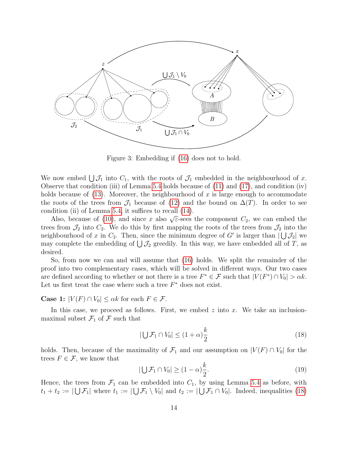

Figure 3: Embedding if [\(16\)](#page-12-3) does not to hold.

We now embed  $\bigcup \mathcal{J}_1$  into  $C_1$ , with the roots of  $\mathcal{J}_1$  embedded in the neighbourhood of x. Observe that condition (iii) of Lemma [5.4](#page-11-0) holds because of  $(11)$  and  $(17)$ , and condition (iv) holds because of  $(13)$ . Moreover, the neighbourhood of x is large enough to accommodate the roots of the trees from  $\mathcal{J}_1$  because of [\(12\)](#page-12-1) and the bound on  $\Delta(T)$ . In order to see condition (ii) of Lemma [5.4,](#page-11-0) it suffices to recall [\(14\)](#page-12-6).

Also, because of [\(10\)](#page-11-3), and since x also  $\sqrt{\varepsilon}$ -sees the component  $C_2$ , we can embed the trees from  $\mathcal{J}_2$  into  $C_2$ . We do this by first mapping the roots of the trees from  $\mathcal{J}_2$  into the neighbourhood of x in  $C_2$ . Then, since the minimum degree of G' is larger than  $|\bigcup \mathcal{J}_2|$  we may complete the embedding of  $\bigcup \mathcal{J}_2$  greedily. In this way, we have embedded all of T, as desired.

So, from now we can and will assume that [\(16\)](#page-12-3) holds. We split the remainder of the proof into two complementary cases, which will be solved in different ways. Our two cases are defined according to whether or not there is a tree  $F^* \in \mathcal{F}$  such that  $|V(F^*) \cap V_0| > \alpha k$ . Let us first treat the case where such a tree  $F^*$  does not exist.

**Case 1:**  $|V(F) \cap V_0| \leq \alpha k$  for each  $F \in \mathcal{F}$ .

In this case, we proceed as follows. First, we embed  $z$  into  $x$ . We take an inclusionmaximal subset  $\mathcal{F}_1$  of  $\mathcal F$  such that

<span id="page-13-0"></span>
$$
|\bigcup \mathcal{F}_1 \cap V_0| \le (1+\alpha)\frac{k}{2} \tag{18}
$$

holds. Then, because of the maximality of  $\mathcal{F}_1$  and our assumption on  $|V(F) \cap V_0|$  for the trees  $F \in \mathcal{F}$ , we know that

<span id="page-13-1"></span>
$$
|\bigcup \mathcal{F}_1 \cap V_0| \ge (1 - \alpha)\frac{k}{2}.\tag{19}
$$

Hence, the trees from  $\mathcal{F}_1$  can be embedded into  $C_1$ , by using Lemma [5.4](#page-11-0) as before, with  $t_1 + t_2 := |\bigcup \mathcal{F}_1|$  where  $t_1 := |\bigcup \mathcal{F}_1 \setminus V_0|$  and  $t_2 := |\bigcup \mathcal{F}_1 \cap V_0|$ . Indeed, inequalities [\(18\)](#page-13-0)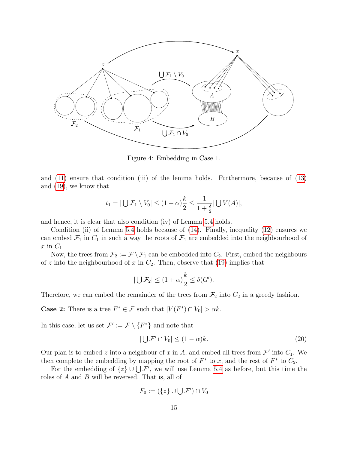

Figure 4: Embedding in Case 1.

and [\(11\)](#page-11-2) ensure that condition (iii) of the lemma holds. Furthermore, because of [\(13\)](#page-12-5) and [\(19\)](#page-13-1), we know that

$$
t_1 = |\bigcup \mathcal{F}_1 \setminus V_0| \le (1+\alpha)\frac{k}{2} \le \frac{1}{1+\frac{\delta}{2}}|\bigcup V(A)|,
$$

and hence, it is clear that also condition (iv) of Lemma [5.4](#page-11-0) holds.

Condition (ii) of Lemma [5.4](#page-11-0) holds because of [\(14\)](#page-12-6). Finally, inequality [\(12\)](#page-12-1) ensures we can embed  $\mathcal{F}_1$  in  $C_1$  in such a way the roots of  $\mathcal{F}_1$  are embedded into the neighbourhood of x in  $C_1$ .

Now, the trees from  $\mathcal{F}_2 := \mathcal{F} \setminus \mathcal{F}_1$  can be embedded into  $C_2$ . First, embed the neighbours of z into the neighbourhood of x in  $C_2$ . Then, observe that [\(19\)](#page-13-1) implies that

$$
|\bigcup \mathcal{F}_2| \le (1+\alpha)\frac{k}{2} \le \delta(G').
$$

Therefore, we can embed the remainder of the trees from  $\mathcal{F}_2$  into  $C_2$  in a greedy fashion.

**Case 2:** There is a tree  $F^* \in \mathcal{F}$  such that  $|V(F^*) \cap V_0| > \alpha k$ .

In this case, let us set  $\mathcal{F}' := \mathcal{F} \setminus \{F^*\}$  and note that

<span id="page-14-0"></span>
$$
|\bigcup \mathcal{F}' \cap V_0| \le (1 - \alpha)k. \tag{20}
$$

Our plan is to embed z into a neighbour of x in A, and embed all trees from  $\mathcal{F}'$  into  $C_1$ . We then complete the embedding by mapping the root of  $F^*$  to x, and the rest of  $F^*$  to  $C_2$ .

For the embedding of  $\{z\} \cup \bigcup \mathcal{F}'$ , we will use Lemma [5.4](#page-11-0) as before, but this time the roles of A and B will be reversed. That is, all of

$$
F_0 := (\{z\} \cup \bigcup \mathcal{F}') \cap V_0
$$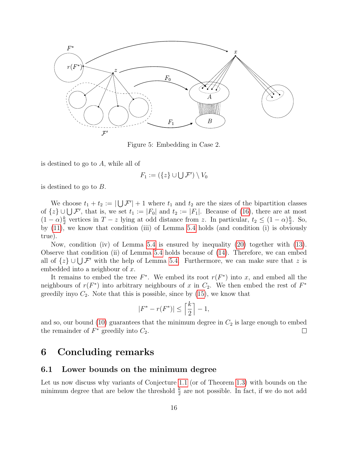

Figure 5: Embedding in Case 2.

is destined to go to A, while all of

$$
F_1 := (\{z\} \cup \bigcup \mathcal{F}') \setminus V_0
$$

is destined to go to B.

We choose  $t_1 + t_2 := |\bigcup \mathcal{F}'| + 1$  where  $t_1$  and  $t_2$  are the sizes of the bipartition classes of  $\{z\} \cup \bigcup \mathcal{F}'$ , that is, we set  $t_1 := |F_0|$  and  $t_2 := |F_1|$ . Because of [\(16\)](#page-12-3), there are at most  $(1-\alpha)\frac{k}{2}$  $\frac{k}{2}$  vertices in  $T - z$  lying at odd distance from z. In particular,  $t_2 \leq (1 - \alpha)\frac{k}{2}$  $\frac{k}{2}$ . So, by [\(11\)](#page-11-2), we know that condition (iii) of Lemma [5.4](#page-11-0) holds (and condition (i) is obviously true).

Now, condition (iv) of Lemma [5.4](#page-11-0) is ensured by inequality [\(20\)](#page-14-0) together with [\(13\)](#page-12-5). Observe that condition (ii) of Lemma [5.4](#page-11-0) holds because of [\(14\)](#page-12-6). Therefore, we can embed all of  $\{z\} \cup \bigcup \mathcal{F}'$  with the help of Lemma [5.4.](#page-11-0) Furthermore, we can make sure that z is embedded into a neighbour of x.

It remains to embed the tree  $F^*$ . We embed its root  $r(F^*)$  into x, and embed all the neighbours of  $r(F^*)$  into arbitrary neighbours of x in  $C_2$ . We then embed the rest of  $F^*$ greedily inyo  $C_2$ . Note that this is possible, since by  $(15)$ , we know that

$$
|F^* - r(F^*)| \le \left\lceil \frac{k}{2} \right\rceil - 1,
$$

and so, our bound [\(10\)](#page-11-3) guarantees that the minimum degree in  $C_2$  is large enough to embed the remainder of  $F^*$  greedily into  $C_2$ .  $\Box$ 

## <span id="page-15-0"></span>6 Concluding remarks

#### 6.1 Lower bounds on the minimum degree

Let us now discuss why variants of Conjecture [1.1](#page-1-0) (or of Theorem [1.3\)](#page-2-2) with bounds on the minimum degree that are below the threshold  $\frac{k}{2}$  are not possible. In fact, if we do not add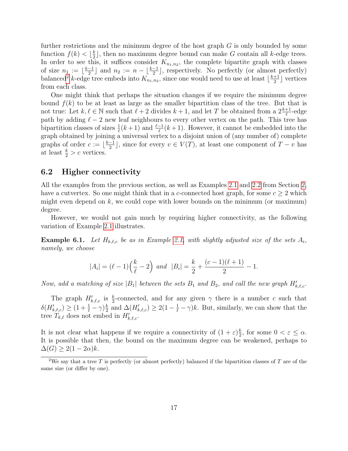further restrictions and the minimum degree of the host graph  $G$  is only bounded by some function  $f(k) < \frac{k}{2}$  $\frac{k}{2}$ , then no maximum degree bound can make G contain all k-edge trees. In order to see this, it suffices consider  $K_{n_1,n_2}$ , the complete bipartite graph with classes of size  $n_1 := \lfloor \frac{k-1}{2} \rfloor$  $\frac{-1}{2}$  and  $n_2 := n - \lfloor \frac{k-1}{2} \rfloor$ , respectively. No perfectly (or almost perfectly) balanced<sup>[2](#page-16-0)</sup> k-edge tree embeds into  $K_{n_1,n_2}$ , since one would need to use at least  $\lfloor \frac{k+1}{2} \rfloor$  $\frac{+1}{2}$  vertices from each class.

One might think that perhaps the situation changes if we require the minimum degree bound  $f(k)$  to be at least as large as the smaller bipartition class of the tree. But that is not true: Let  $k, \ell \in \mathbb{N}$  such that  $\ell + 2$  divides  $k + 1$ , and let T be obtained from a  $2\frac{k+1}{\ell}$ -edge path by adding  $\ell - 2$  new leaf neighbours to every other vertex on the path. This tree has bipartition classes of sizes  $\frac{1}{\ell}(k+1)$  and  $\frac{\ell-1}{\ell}(k+1)$ . However, it cannot be embedded into the graph obtained by joining a universal vertex to a disjoint union of (any number of) complete graphs of order  $c := \lfloor \frac{k-1}{2} \rfloor$  $\frac{-1}{2}$ , since for every  $v \in V(T)$ , at least one component of  $T - v$  has at least  $\frac{k}{2} > c$  vertices.

#### 6.2 Higher connectivity

All the examples from the previous section, as well as Examples [2.1](#page-3-2) and [2.2](#page-5-0) from Section [2,](#page-3-0) have a cutvertex. So one might think that in a c-connected host graph, for some  $c \geq 2$  which might even depend on  $k$ , we could cope with lower bounds on the minimum (or maximum) degree.

However, we would not gain much by requiring higher connectivity, as the following variation of Example [2.1](#page-3-2) illustrates.

**Example 6.1.** Let  $H_{k,\ell,c}$  be as in Example [2.1,](#page-3-2) with slightly adjusted size of the sets  $A_i$ , namely, we choose

$$
|A_i| = (\ell - 1)\left(\frac{k}{\ell} - 2\right)
$$
 and  $|B_i| = \frac{k}{2} + \frac{(c-1)(\ell+1)}{2} - 1.$ 

Now, add a matching of size |B<sub>1</sub>| between the sets B<sub>1</sub> and B<sub>2</sub>, and call the new graph  $H'_{k,\ell,c}$ .

The graph  $H'_{k,\ell,c}$  is  $\frac{k}{2}$ -connected, and for any given  $\gamma$  there is a number c such that  $\delta(H'_{k,\ell,c}) \geq (1 + \frac{1}{\ell} - \gamma)\frac{k}{2}$  $\frac{k}{2}$  and  $\Delta(H'_{k,\ell,c}) \geq 2(1-\frac{1}{\ell}-\gamma)k$ . But, similarly, we can show that the tree  $T_{k,\ell}$  does not embed in  $H'_{k,\ell,c}$ .

It is not clear what happens if we require a connectivity of  $(1+\varepsilon)\frac{k}{2}$  $\frac{k}{2}$ , for some  $0 < \varepsilon \leq \alpha$ . It is possible that then, the bound on the maximum degree can be weakened, perhaps to  $\Delta(G) \geq 2(1-2\alpha)k.$ 

<span id="page-16-0"></span><sup>&</sup>lt;sup>2</sup>We say that a tree T is perfectly (or almost perfectly) balanced if the bipartition classes of T are of the same size (or differ by one).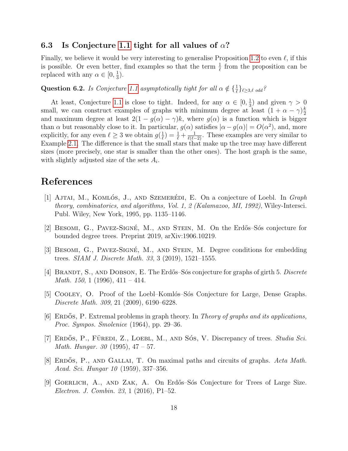#### <span id="page-17-8"></span>6.3 Is Conjecture [1.1](#page-1-0) tight for all values of  $\alpha$ ?

Finally, we believe it would be very interesting to generalise Proposition [1.2](#page-2-0) to even  $\ell$ , if this is possible. Or even better, find examples so that the term  $\frac{1}{\ell}$  from the proposition can be replaced with any  $\alpha \in [0, \frac{1}{3}]$  $\frac{1}{3}$ .

## Question 6.2. Is Conjecture [1.1](#page-1-0) asymptotically tight for all  $\alpha \notin \{\frac{1}{\ell}\}_{\ell \geq 3,\ell}$  odd?

At least, Conjecture [1.1](#page-1-0) is close to tight. Indeed, for any  $\alpha \in [0, \frac{1}{3}]$  $(\frac{1}{3})$  and given  $\gamma > 0$ small, we can construct examples of graphs with minimum degree at least  $(1 + \alpha - \gamma)\frac{k}{2}$ 2 and maximum degree at least  $2(1 - g(\alpha) - \gamma)k$ , where  $g(\alpha)$  is a function which is bigger than  $\alpha$  but reasonably close to it. In particular,  $g(\alpha)$  satisfies  $|\alpha - g(\alpha)| = O(\alpha^2)$ , and, more explicitly, for any even  $\ell \geq 3$  we obtain  $g(\frac{1}{\ell})$  $(\frac{1}{\ell}) = \frac{1}{\ell} + \frac{1}{\ell(\ell-2)}$ . These examples are very similar to Example [2.1.](#page-3-2) The difference is that the small stars that make up the tree may have different sizes (more precisely, one star is smaller than the other ones). The host graph is the same, with slightly adjusted size of the sets  $A_i$ .

#### References

- <span id="page-17-5"></span>[1] AJTAI, M., KOMLÓS, J., AND SZEMERÉDI, E. On a conjecture of Loebl. In Graph theory, combinatorics, and algorithms, Vol. 1, 2 (Kalamazoo, MI, 1992), Wiley-Intersci. Publ. Wiley, New York, 1995, pp. 1135–1146.
- <span id="page-17-1"></span>[2] BESOMI, G., PAVEZ-SIGNÉ, M., AND STEIN, M. On the Erdős–Sós conjecture for bounded degree trees. Preprint 2019, arXiv:1906.10219.
- <span id="page-17-7"></span>[3] BESOMI, G., PAVEZ-SIGNÉ, M., AND STEIN, M. Degree conditions for embedding trees. SIAM J. Discrete Math. 33, 3 (2019), 1521–1555.
- <span id="page-17-2"></span>[4] BRANDT, S., AND DOBSON, E. The Erdős–Sós conjecture for graphs of girth 5. Discrete *Math.* 150, 1 (1996),  $411 - 414$ .
- <span id="page-17-6"></span>[5] COOLEY, O. Proof of the Loebl–Komlós–Sós Conjecture for Large, Dense Graphs. Discrete Math. 309, 21 (2009), 6190–6228.
- <span id="page-17-0"></span>[6] ERDOS, P. Extremal problems in graph theory. In Theory of graphs and its applications, Proc. Sympos. Smolenice (1964), pp. 29–36.
- <span id="page-17-4"></span>[7] ERDÓS, P., FÜREDI, Z., LOEBL, M., AND SÓS, V. Discrepancy of trees. Studia Sci. *Math. Hungar.* 30 (1995),  $47 - 57$ .
- <span id="page-17-9"></span>[8] ERDÓS, P., AND GALLAI, T. On maximal paths and circuits of graphs. Acta Math. Acad. Sci. Hungar 10 (1959), 337–356.
- <span id="page-17-3"></span>[9] GOERLICH, A., AND ZAK, A. On Erdős–Sós Conjecture for Trees of Large Size. Electron. J. Combin. 23, 1 (2016), P1–52.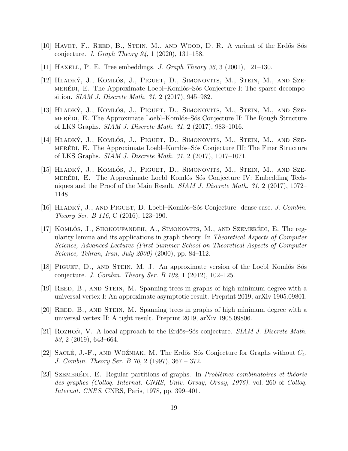- <span id="page-18-7"></span>[10] HAVET, F., REED, B., STEIN, M., AND WOOD, D. R. A variant of the Erdős–Sós conjecture. *J. Graph Theory 94*, 1 (2020), 131–158.
- <span id="page-18-0"></span>[11] Haxell, P. E. Tree embeddings. J. Graph Theory 36, 3 (2001), 121–130.
- <span id="page-18-5"></span>[12] HLADKÝ, J., KOMLÓS, J., PIGUET, D., SIMONOVITS, M., STEIN, M., AND SZEmeredition, E. The Approximate Loebl–Komlós–Sós Conjecture I: The sparse decomposition. SIAM J. Discrete Math. 31, 2 (2017), 945–982.
- [13] HLADKÝ, J., KOMLÓS, J., PIGUET, D., SIMONOVITS, M., STEIN, M., AND SZEmeredition, E. The Approximate Loebl–Komlós–Sós Conjecture II: The Rough Structure of LKS Graphs. SIAM J. Discrete Math. 31, 2 (2017), 983–1016.
- [14] HLADKÝ, J., KOMLÓS, J., PIGUET, D., SIMONOVITS, M., STEIN, M., AND SZEmeredition, E. The Approximate Loebl–Komlós–Sós Conjecture III: The Finer Structure of LKS Graphs. SIAM J. Discrete Math. 31, 2 (2017), 1017–1071.
- <span id="page-18-6"></span>[15] HLADKÝ, J., KOMLÓS, J., PIGUET, D., SIMONOVITS, M., STEIN, M., AND SZEmerediation. E. The Approximate Loebl–Komlós–Sós Conjecture IV: Embedding Techniques and the Proof of the Main Result.  $SIAM J. Discrete Math. 31, 2 (2017), 1072-$ 1148.
- <span id="page-18-4"></span>[16] HLADKÝ, J., AND PIGUET, D. Loebl–Komlós–Sós Conjecture: dense case. J. Combin. Theory Ser. B 116, C (2016), 123–190.
- <span id="page-18-11"></span>[17] KOMLÓS, J., SHOKOUFANDEH,  $A_{\cdot}$ , SIMONOVITS, M., AND SZEMERÉDI, E. The regularity lemma and its applications in graph theory. In Theoretical Aspects of Computer Science, Advanced Lectures (First Summer School on Theoretical Aspects of Computer Science, Tehran, Iran, July 2000) (2000), pp. 84–112.
- <span id="page-18-3"></span>[18] PIGUET, D., AND STEIN, M. J. An approximate version of the Loebl-Komlós–Sós conjecture. J. Combin. Theory Ser. B 102, 1 (2012), 102–125.
- <span id="page-18-8"></span>[19] Reed, B., and Stein, M. Spanning trees in graphs of high minimum degree with a universal vertex I: An approximate asymptotic result. Preprint 2019, arXiv 1905.09801.
- <span id="page-18-9"></span>[20] Reed, B., and Stein, M. Spanning trees in graphs of high minimum degree with a universal vertex II: A tight result. Preprint 2019, arXiv 1905.09806.
- <span id="page-18-1"></span>[21] ROZHON, V. A local approach to the Erdős–Sós conjecture.  $SIAM J. Discrete Math.$ 33, 2 (2019), 643–664.
- <span id="page-18-2"></span>[22] SACLÉ, J.-F., AND WOZNIAK, M. The Erdős–Sós Conjecture for Graphs without  $C_4$ . J. Combin. Theory Ser. B 70, 2 (1997), 367 – 372.
- <span id="page-18-10"></span>[23] SZEMERÉDI, E. Regular partitions of graphs. In *Problèmes combinatoires et théorie* des graphes (Colloq. Internat. CNRS, Univ. Orsay, Orsay, 1976), vol. 260 of Colloq. Internat. CNRS. CNRS, Paris, 1978, pp. 399–401.